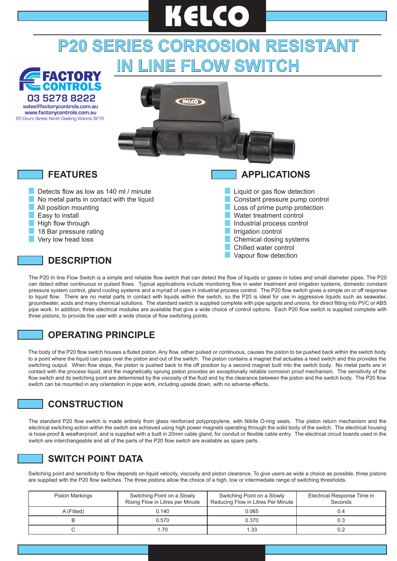# **P20 SERIES CORROSION RESISTANT IN LINE FLOW SWITCH KELCO**



The P20 In line Flow Switch is a simple and reliable flow switch that can detect the flow of liquids or gases in tubes and small diameter pipes. The P20 can detect either continuous or pulsed flows. Typical applications include monitoring flow in water treatment and irrigation systems, domestic constant pressure system control, gland cooling systems and a myriad of uses in industrial process control. The P20 flow switch gives a simple on or off response to liquid flow. There are no metal parts in contact with liquids within the switch, so the P20 is ideal for use in aggressive liquids such as seawater, groundwater, acids and many chemical solutions. The standard switch is supplied complete with pipe spigots and unions, for direct fitting into PVC or ABS pipe work. In addition, three electrical modules are available that give a wide choice of control options. Each P20 flow switch is supplied complete with three pistons, to provide the user with a wide choice of flow switching points.

## **OPERATING PRINCIPLE**

The body of the P20 flow switch houses a fluted piston. Any flow, either pulsed or continuous, causes the piston to be pushed back within the switch body to a point where the liquid can pass over the piston and out of the switch. The piston contains a magnet that actuates a reed switch and this provides the switching output. When flow stops, the piston is pushed back to the off position by a second magnet built into the switch body. No metal parts are in contact with the process liquid, and the magnetically sprung piston provides an exceptionally reliable corrosion proof mechanism. The sensitivity of the flow switch and its switching point are determined by the viscosity of the fluid and by the clearance between the piston and the switch body. The P20 flow switch can be mounted in any orientation in pipe work, including upside down, with no adverse effects.

#### **CONSTRUCTION**

The standard P20 flow switch is made entirely from glass reinforced polypropylene, with Nitrile O-ring seals. The piston return mechanism and the electrical switching action within the switch are achieved using high power magnets operating through the solid body of the switch. The electrical housing is hose-proof & weatherproof, and is supplied with a built in 20mm cable gland, for conduit or flexible cable entry. The electrical circuit boards used in the switch are interchangeable and all of the parts of the P20 flow switch are available as spare parts.

#### **SWITCH POINT DATA**

Switching point and sensitivity to flow depends on liquid velocity, viscosity and piston clearance. To give users as wide a choice as possible, three pistons are supplied with the P20 flow switches. The three pistons allow the choice of a high, low or intermediate range of switching thresholds.

| <b>Piston Markings</b> | Switching Point on a Slowly<br>Rising Flow in Litres per Minute | Switching Point on a Slowly<br>Reducing Flow in Litres Per Minute | Electrical Response Time in<br>Seconds |
|------------------------|-----------------------------------------------------------------|-------------------------------------------------------------------|----------------------------------------|
| A (Fitted)             | 0.140                                                           | 0.065                                                             | 0.4                                    |
|                        | 0.570                                                           | 0.370                                                             |                                        |
|                        | 1.70                                                            | 1.33                                                              |                                        |